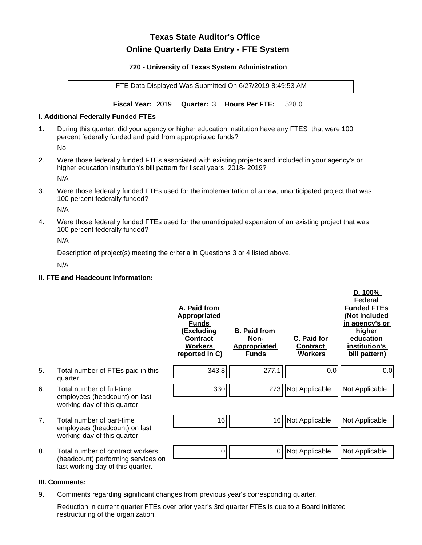# **Texas State Auditor's Office Online Quarterly Data Entry - FTE System**

#### **720 - University of Texas System Administration**

FTE Data Displayed Was Submitted On 6/27/2019 8:49:53 AM

**Fiscal Year:** 2019 **Quarter:** 3 **Hours Per FTE:** 528.0

### **I. Additional Federally Funded FTEs**

1. During this quarter, did your agency or higher education institution have any FTES that were 100 percent federally funded and paid from appropriated funds?

No

2. Were those federally funded FTEs associated with existing projects and included in your agency's or higher education institution's bill pattern for fiscal years 2018- 2019?

N/A

3. Were those federally funded FTEs used for the implementation of a new, unanticipated project that was 100 percent federally funded?

N/A

4. Were those federally funded FTEs used for the unanticipated expansion of an existing project that was 100 percent federally funded?

N/A

Description of project(s) meeting the criteria in Questions 3 or 4 listed above.

N/A

# **II. FTE and Headcount Information:**

|    |                                                                                                             | A. Paid from<br><b>Appropriated</b><br><b>Funds</b><br><u>(Excluding</u><br><b>Contract</b><br><b>Workers</b><br>reported in C) | <b>B. Paid from</b><br><u>Non-</u><br><b>Appropriated</b><br><b>Funds</b> | C. Paid for<br><b>Contract</b><br><b>Workers</b> | D. 100%<br>Federal<br><b>Funded FTEs</b><br>(Not included<br>in agency's or<br>higher<br>education<br>institution's<br>bill pattern) |
|----|-------------------------------------------------------------------------------------------------------------|---------------------------------------------------------------------------------------------------------------------------------|---------------------------------------------------------------------------|--------------------------------------------------|--------------------------------------------------------------------------------------------------------------------------------------|
| 5. | Total number of FTEs paid in this<br>quarter.                                                               | 343.8                                                                                                                           | 277.1                                                                     | 0.0                                              | 0.0                                                                                                                                  |
| 6. | Total number of full-time<br>employees (headcount) on last<br>working day of this quarter.                  | 330                                                                                                                             | 273                                                                       | Not Applicable                                   | Not Applicable                                                                                                                       |
| 7. | Total number of part-time<br>employees (headcount) on last<br>working day of this quarter.                  | 16                                                                                                                              | 16                                                                        | Not Applicable                                   | Not Applicable                                                                                                                       |
| 8. | Total number of contract workers<br>(headcount) performing services on<br>last working day of this quarter. | 0                                                                                                                               | 0                                                                         | Not Applicable                                   | Not Applicable                                                                                                                       |

## **III. Comments:**

9. Comments regarding significant changes from previous year's corresponding quarter.

Reduction in current quarter FTEs over prior year's 3rd quarter FTEs is due to a Board initiated restructuring of the organization.